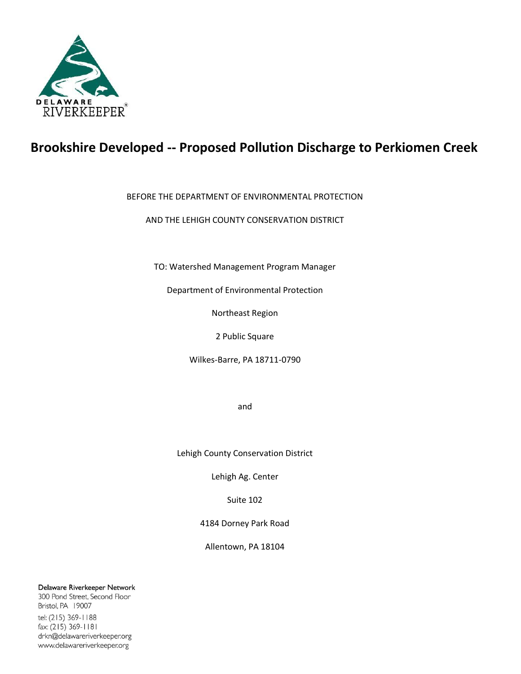

# **Brookshire Developed -- Proposed Pollution Discharge to Perkiomen Creek**

# BEFORE THE DEPARTMENT OF ENVIRONMENTAL PROTECTION

AND THE LEHIGH COUNTY CONSERVATION DISTRICT

TO: Watershed Management Program Manager

Department of Environmental Protection

Northeast Region

2 Public Square

Wilkes-Barre, PA 18711-0790

and

Lehigh County Conservation District

Lehigh Ag. Center

Suite 102

4184 Dorney Park Road

Allentown, PA 18104

Delaware Riverkeeper Network

300 Pond Street, Second Floor Bristol, PA 19007 tel: (215) 369-1188 fax: (215) 369-1181 drkn@delawareriverkeeper.org www.delawareriverkeeper.org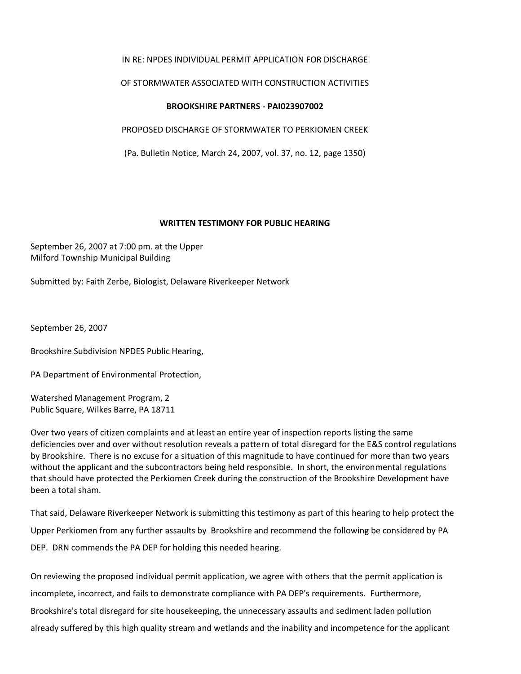## IN RE: NPDES INDIVIDUAL PERMIT APPLICATION FOR DISCHARGE

### OF STORMWATER ASSOCIATED WITH CONSTRUCTION ACTIVITIES

#### **BROOKSHIRE PARTNERS - PAI023907002**

PROPOSED DISCHARGE OF STORMWATER TO PERKIOMEN CREEK

(Pa. Bulletin Notice, March 24, 2007, vol. 37, no. 12, page 1350)

#### **WRITTEN TESTIMONY FOR PUBLIC HEARING**

September 26, 2007 at 7:00 pm. at the Upper Milford Township Municipal Building

Submitted by: Faith Zerbe, Biologist, Delaware Riverkeeper Network

September 26, 2007

Brookshire Subdivision NPDES Public Hearing,

PA Department of Environmental Protection,

Watershed Management Program, 2 Public Square, Wilkes Barre, PA 18711

Over two years of citizen complaints and at least an entire year of inspection reports listing the same deficiencies over and over without resolution reveals a pattern of total disregard for the E&S control regulations by Brookshire. There is no excuse for a situation of this magnitude to have continued for more than two years without the applicant and the subcontractors being held responsible. In short, the environmental regulations that should have protected the Perkiomen Creek during the construction of the Brookshire Development have been a total sham.

That said, Delaware Riverkeeper Network is submitting this testimony as part of this hearing to help protect the Upper Perkiomen from any further assaults by Brookshire and recommend the following be considered by PA DEP. DRN commends the PA DEP for holding this needed hearing.

On reviewing the proposed individual permit application, we agree with others that the permit application is incomplete, incorrect, and fails to demonstrate compliance with PA DEP's requirements. Furthermore, Brookshire's total disregard for site housekeeping, the unnecessary assaults and sediment laden pollution already suffered by this high quality stream and wetlands and the inability and incompetence for the applicant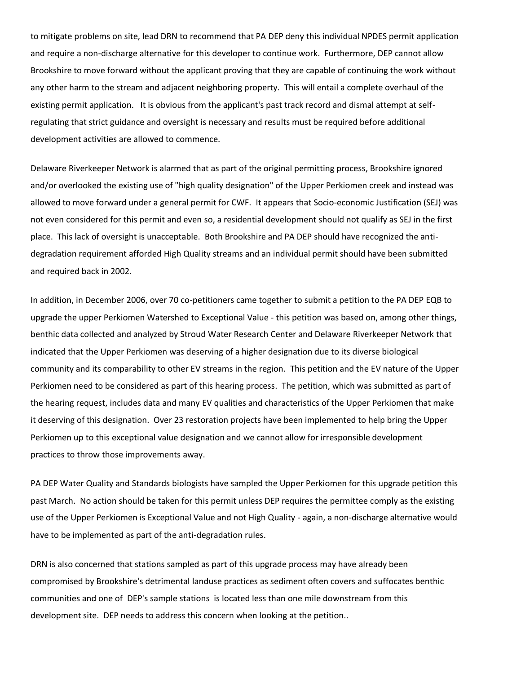to mitigate problems on site, lead DRN to recommend that PA DEP deny this individual NPDES permit application and require a non-discharge alternative for this developer to continue work. Furthermore, DEP cannot allow Brookshire to move forward without the applicant proving that they are capable of continuing the work without any other harm to the stream and adjacent neighboring property. This will entail a complete overhaul of the existing permit application. It is obvious from the applicant's past track record and dismal attempt at selfregulating that strict guidance and oversight is necessary and results must be required before additional development activities are allowed to commence.

Delaware Riverkeeper Network is alarmed that as part of the original permitting process, Brookshire ignored and/or overlooked the existing use of "high quality designation" of the Upper Perkiomen creek and instead was allowed to move forward under a general permit for CWF. It appears that Socio-economic Justification (SEJ) was not even considered for this permit and even so, a residential development should not qualify as SEJ in the first place. This lack of oversight is unacceptable. Both Brookshire and PA DEP should have recognized the antidegradation requirement afforded High Quality streams and an individual permit should have been submitted and required back in 2002.

In addition, in December 2006, over 70 co-petitioners came together to submit a petition to the PA DEP EQB to upgrade the upper Perkiomen Watershed to Exceptional Value - this petition was based on, among other things, benthic data collected and analyzed by Stroud Water Research Center and Delaware Riverkeeper Network that indicated that the Upper Perkiomen was deserving of a higher designation due to its diverse biological community and its comparability to other EV streams in the region. This petition and the EV nature of the Upper Perkiomen need to be considered as part of this hearing process. The petition, which was submitted as part of the hearing request, includes data and many EV qualities and characteristics of the Upper Perkiomen that make it deserving of this designation. Over 23 restoration projects have been implemented to help bring the Upper Perkiomen up to this exceptional value designation and we cannot allow for irresponsible development practices to throw those improvements away.

PA DEP Water Quality and Standards biologists have sampled the Upper Perkiomen for this upgrade petition this past March. No action should be taken for this permit unless DEP requires the permittee comply as the existing use of the Upper Perkiomen is Exceptional Value and not High Quality - again, a non-discharge alternative would have to be implemented as part of the anti-degradation rules.

DRN is also concerned that stations sampled as part of this upgrade process may have already been compromised by Brookshire's detrimental landuse practices as sediment often covers and suffocates benthic communities and one of DEP's sample stations is located less than one mile downstream from this development site. DEP needs to address this concern when looking at the petition..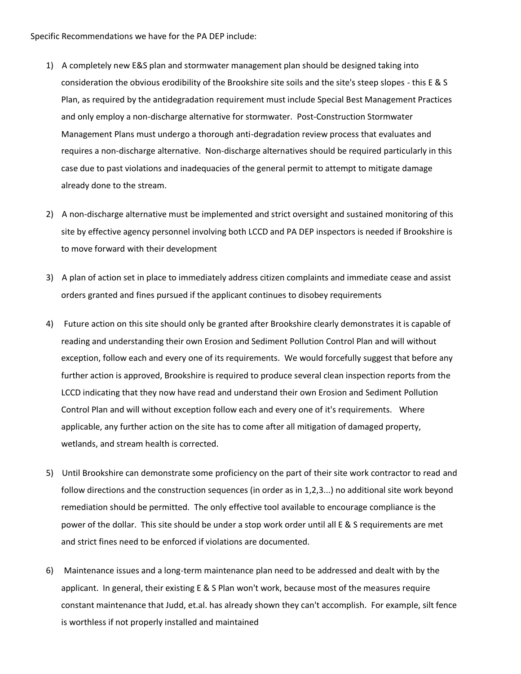Specific Recommendations we have for the PA DEP include:

- 1) A completely new E&S plan and stormwater management plan should be designed taking into consideration the obvious erodibility of the Brookshire site soils and the site's steep slopes - this E & S Plan, as required by the antidegradation requirement must include Special Best Management Practices and only employ a non-discharge alternative for stormwater. Post-Construction Stormwater Management Plans must undergo a thorough anti-degradation review process that evaluates and requires a non-discharge alternative. Non-discharge alternatives should be required particularly in this case due to past violations and inadequacies of the general permit to attempt to mitigate damage already done to the stream.
- 2) A non-discharge alternative must be implemented and strict oversight and sustained monitoring of this site by effective agency personnel involving both LCCD and PA DEP inspectors is needed if Brookshire is to move forward with their development
- 3) A plan of action set in place to immediately address citizen complaints and immediate cease and assist orders granted and fines pursued if the applicant continues to disobey requirements
- 4) Future action on this site should only be granted after Brookshire clearly demonstrates it is capable of reading and understanding their own Erosion and Sediment Pollution Control Plan and will without exception, follow each and every one of its requirements. We would forcefully suggest that before any further action is approved, Brookshire is required to produce several clean inspection reports from the LCCD indicating that they now have read and understand their own Erosion and Sediment Pollution Control Plan and will without exception follow each and every one of it's requirements. Where applicable, any further action on the site has to come after all mitigation of damaged property, wetlands, and stream health is corrected.
- 5) Until Brookshire can demonstrate some proficiency on the part of their site work contractor to read and follow directions and the construction sequences (in order as in 1,2,3...) no additional site work beyond remediation should be permitted. The only effective tool available to encourage compliance is the power of the dollar. This site should be under a stop work order until all E & S requirements are met and strict fines need to be enforced if violations are documented.
- 6) Maintenance issues and a long-term maintenance plan need to be addressed and dealt with by the applicant. In general, their existing E & S Plan won't work, because most of the measures require constant maintenance that Judd, et.al. has already shown they can't accomplish. For example, silt fence is worthless if not properly installed and maintained